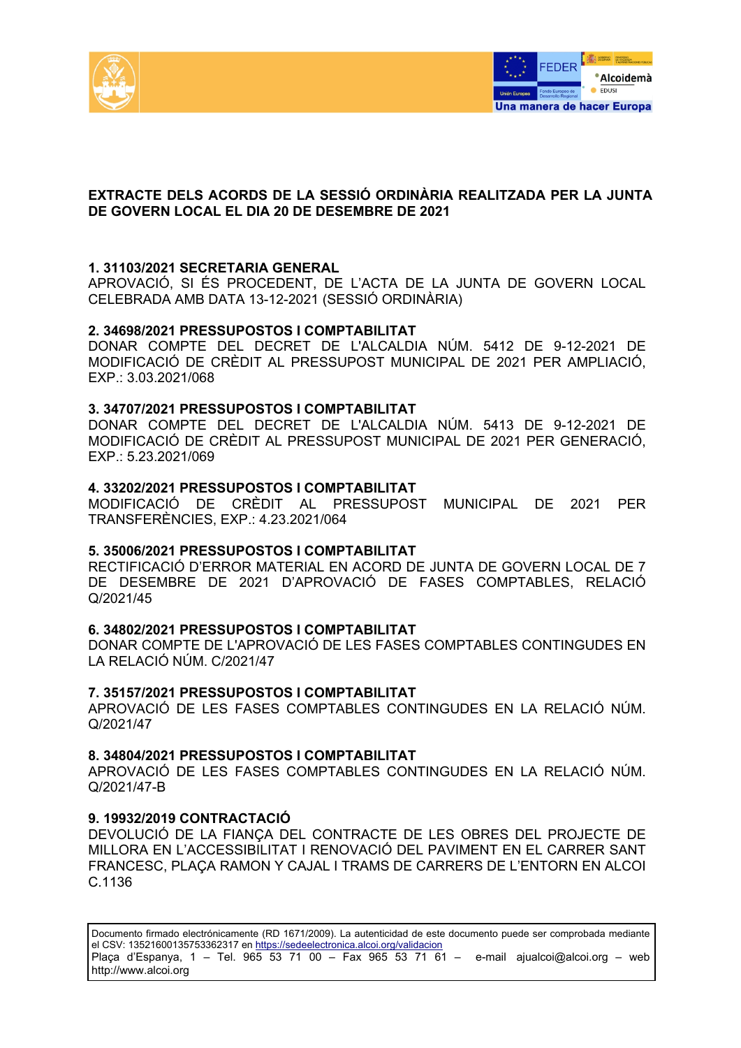



# **EXTRACTE DELS ACORDS DE LA SESSIÓ ORDINÀRIA REALITZADA PER LA JUNTA DE GOVERN LOCAL EL DIA 20 DE DESEMBRE DE 2021**

## **1. 31103/2021 SECRETARIA GENERAL**

APROVACIÓ, SI ÉS PROCEDENT, DE L'ACTA DE LA JUNTA DE GOVERN LOCAL CELEBRADA AMB DATA 13-12-2021 (SESSIÓ ORDINÀRIA)

#### **2. 34698/2021 PRESSUPOSTOS I COMPTABILITAT**

DONAR COMPTE DEL DECRET DE L'ALCALDIA NÚM. 5412 DE 9-12-2021 DE MODIFICACIÓ DE CRÈDIT AL PRESSUPOST MUNICIPAL DE 2021 PER AMPLIACIÓ, EXP.: 3.03.2021/068

#### **3. 34707/2021 PRESSUPOSTOS I COMPTABILITAT**

DONAR COMPTE DEL DECRET DE L'ALCALDIA NÚM. 5413 DE 9-12-2021 DE MODIFICACIÓ DE CRÈDIT AL PRESSUPOST MUNICIPAL DE 2021 PER GENERACIÓ, EXP.: 5.23.2021/069

### **4. 33202/2021 PRESSUPOSTOS I COMPTABILITAT**

MODIFICACIÓ DE CRÈDIT AL PRESSUPOST MUNICIPAL DE 2021 PER TRANSFERÈNCIES, EXP.: 4.23.2021/064

#### **5. 35006/2021 PRESSUPOSTOS I COMPTABILITAT**

RECTIFICACIÓ D'ERROR MATERIAL EN ACORD DE JUNTA DE GOVERN LOCAL DE 7 DE DESEMBRE DE 2021 D'APROVACIÓ DE FASES COMPTABLES, RELACIÓ Q/2021/45

### **6. 34802/2021 PRESSUPOSTOS I COMPTABILITAT**

DONAR COMPTE DE L'APROVACIÓ DE LES FASES COMPTABLES CONTINGUDES EN LA RELACIÓ NÚM. C/2021/47

### **7. 35157/2021 PRESSUPOSTOS I COMPTABILITAT**

APROVACIÓ DE LES FASES COMPTABLES CONTINGUDES EN LA RELACIÓ NÚM. Q/2021/47

#### **8. 34804/2021 PRESSUPOSTOS I COMPTABILITAT**

APROVACIÓ DE LES FASES COMPTABLES CONTINGUDES EN LA RELACIÓ NÚM. Q/2021/47-B

#### **9. 19932/2019 CONTRACTACIÓ**

DEVOLUCIÓ DE LA FIANÇA DEL CONTRACTE DE LES OBRES DEL PROJECTE DE MILLORA EN L'ACCESSIBILITAT I RENOVACIÓ DEL PAVIMENT EN EL CARRER SANT FRANCESC, PLAÇA RAMON Y CAJAL I TRAMS DE CARRERS DE L'ENTORN EN ALCOI C.1136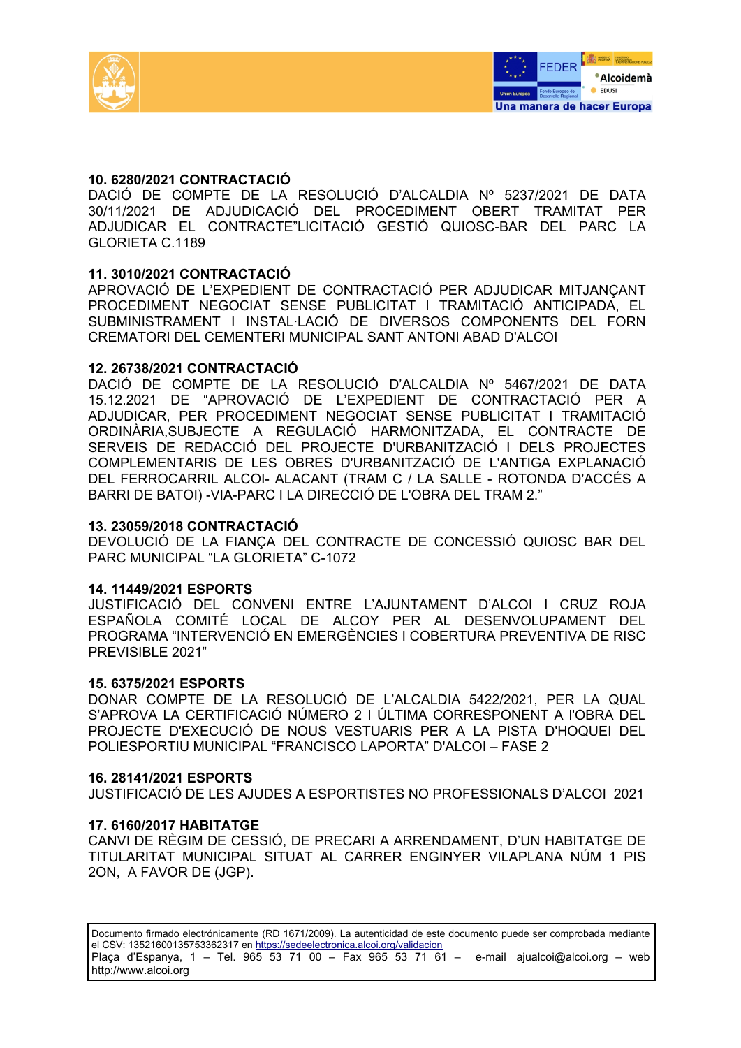



## **10. 6280/2021 CONTRACTACIÓ**

DACIÓ DE COMPTE DE LA RESOLUCIÓ D'ALCALDIA Nº 5237/2021 DE DATA 30/11/2021 DE ADJUDICACIÓ DEL PROCEDIMENT OBERT TRAMITAT PER ADJUDICAR EL CONTRACTE"LICITACIÓ GESTIÓ QUIOSC-BAR DEL PARC LA GLORIETA C.1189

## **11. 3010/2021 CONTRACTACIÓ**

APROVACIÓ DE L'EXPEDIENT DE CONTRACTACIÓ PER ADJUDICAR MITJANÇANT PROCEDIMENT NEGOCIAT SENSE PUBLICITAT I TRAMITACIÓ ANTICIPADA, EL SUBMINISTRAMENT I INSTAL·LACIÓ DE DIVERSOS COMPONENTS DEL FORN CREMATORI DEL CEMENTERI MUNICIPAL SANT ANTONI ABAD D'ALCOI

## **12. 26738/2021 CONTRACTACIÓ**

DACIÓ DE COMPTE DE LA RESOLUCIÓ D'ALCALDIA Nº 5467/2021 DE DATA 15.12.2021 DE "APROVACIÓ DE L'EXPEDIENT DE CONTRACTACIÓ PER A ADJUDICAR, PER PROCEDIMENT NEGOCIAT SENSE PUBLICITAT I TRAMITACIÓ ORDINÀRIA,SUBJECTE A REGULACIÓ HARMONITZADA, EL CONTRACTE DE SERVEIS DE REDACCIÓ DEL PROJECTE D'URBANITZACIÓ I DELS PROJECTES COMPLEMENTARIS DE LES OBRES D'URBANITZACIÓ DE L'ANTIGA EXPLANACIÓ DEL FERROCARRIL ALCOI- ALACANT (TRAM C / LA SALLE - ROTONDA D'ACCÉS A BARRI DE BATOI) -VIA-PARC I LA DIRECCIÓ DE L'OBRA DEL TRAM 2."

### **13. 23059/2018 CONTRACTACIÓ**

DEVOLUCIÓ DE LA FIANÇA DEL CONTRACTE DE CONCESSIÓ QUIOSC BAR DEL PARC MUNICIPAL "LA GLORIETA" C-1072

### **14. 11449/2021 ESPORTS**

JUSTIFICACIÓ DEL CONVENI ENTRE L'AJUNTAMENT D'ALCOI I CRUZ ROJA ESPAÑOLA COMITÉ LOCAL DE ALCOY PER AL DESENVOLUPAMENT DEL PROGRAMA "INTERVENCIÓ EN EMERGÈNCIES I COBERTURA PREVENTIVA DE RISC PREVISIBLE 2021"

### **15. 6375/2021 ESPORTS**

DONAR COMPTE DE LA RESOLUCIÓ DE L'ALCALDIA 5422/2021, PER LA QUAL S'APROVA LA CERTIFICACIÓ NÚMERO 2 I ÚLTIMA CORRESPONENT A l'OBRA DEL PROJECTE D'EXECUCIÓ DE NOUS VESTUARIS PER A LA PISTA D'HOQUEI DEL POLIESPORTIU MUNICIPAL "FRANCISCO LAPORTA" D'ALCOI – FASE 2

### **16. 28141/2021 ESPORTS**

JUSTIFICACIÓ DE LES AJUDES A ESPORTISTES NO PROFESSIONALS D'ALCOI 2021

### **17. 6160/2017 HABITATGE**

CANVI DE RÈGIM DE CESSIÓ, DE PRECARI A ARRENDAMENT, D'UN HABITATGE DE TITULARITAT MUNICIPAL SITUAT AL CARRER ENGINYER VILAPLANA NÚM 1 PIS 2ON, A FAVOR DE (JGP).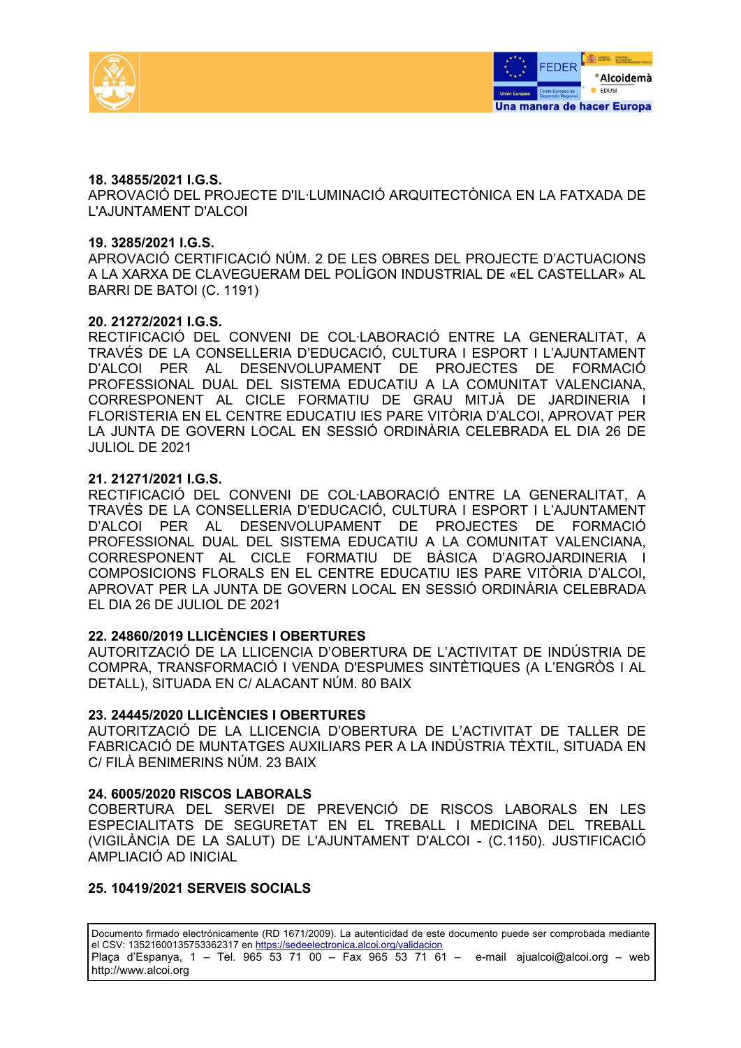



## **18. 34855/2021 I.G.S.**

APROVACIÓ DEL PROJECTE D'IL·LUMINACIÓ ARQUITECTÒNICA EN LA FATXADA DE L'AJUNTAMENT D'ALCOI

### **19. 3285/2021 I.G.S.**

APROVACIÓ CERTIFICACIÓ NÚM. 2 DE LES OBRES DEL PROJECTE D'ACTUACIONS A LA XARXA DE CLAVEGUERAM DEL POLÍGON INDUSTRIAL DE «EL CASTELLAR» AL BARRI DE BATOI (C. 1191)

### **20. 21272/2021 I.G.S.**

RECTIFICACIÓ DEL CONVENI DE COL·LABORACIÓ ENTRE LA GENERALITAT, A TRAVÉS DE LA CONSELLERIA D'EDUCACIÓ, CULTURA I ESPORT I L'AJUNTAMENT D'ALCOI PER AL DESENVOLUPAMENT DE PROJECTES DE FORMACIÓ PROFESSIONAL DUAL DEL SISTEMA EDUCATIU A LA COMUNITAT VALENCIANA, CORRESPONENT AL CICLE FORMATIU DE GRAU MITJÀ DE JARDINERIA I FLORISTERIA EN EL CENTRE EDUCATIU IES PARE VITÒRIA D'ALCOI, APROVAT PER LA JUNTA DE GOVERN LOCAL EN SESSIÓ ORDINÀRIA CELEBRADA EL DIA 26 DE JULIOL DE 2021

### **21. 21271/2021 I.G.S.**

RECTIFICACIÓ DEL CONVENI DE COL·LABORACIÓ ENTRE LA GENERALITAT, A TRAVÉS DE LA CONSELLERIA D'EDUCACIÓ, CULTURA I ESPORT I L'AJUNTAMENT D'ALCOI PER AL DESENVOLUPAMENT DE PROJECTES DE FORMACIÓ PROFESSIONAL DUAL DEL SISTEMA EDUCATIU A LA COMUNITAT VALENCIANA, CORRESPONENT AL CICLE FORMATIU DE BÀSICA D'AGROJARDINERIA I COMPOSICIONS FLORALS EN EL CENTRE EDUCATIU IES PARE VITÒRIA D'ALCOI, APROVAT PER LA JUNTA DE GOVERN LOCAL EN SESSIÓ ORDINÀRIA CELEBRADA EL DIA 26 DE JULIOL DE 2021

### **22. 24860/2019 LLICÈNCIES I OBERTURES**

AUTORITZACIÓ DE LA LLICENCIA D'OBERTURA DE L'ACTIVITAT DE INDÚSTRIA DE COMPRA, TRANSFORMACIÓ I VENDA D'ESPUMES SINTÈTIQUES (A L'ENGRÒS I AL DETALL), SITUADA EN C/ ALACANT NÚM. 80 BAIX

### **23. 24445/2020 LLICÈNCIES I OBERTURES**

AUTORITZACIÓ DE LA LLICENCIA D'OBERTURA DE L'ACTIVITAT DE TALLER DE FABRICACIÓ DE MUNTATGES AUXILIARS PER A LA INDÚSTRIA TÈXTIL, SITUADA EN C/ FILÀ BENIMERINS NÚM. 23 BAIX

### **24. 6005/2020 RISCOS LABORALS**

COBERTURA DEL SERVEI DE PREVENCIÓ DE RISCOS LABORALS EN LES ESPECIALITATS DE SEGURETAT EN EL TREBALL I MEDICINA DEL TREBALL (VIGILÀNCIA DE LA SALUT) DE L'AJUNTAMENT D'ALCOI - (C.1150). JUSTIFICACIÓ AMPLIACIÓ AD INICIAL

### **25. 10419/2021 SERVEIS SOCIALS**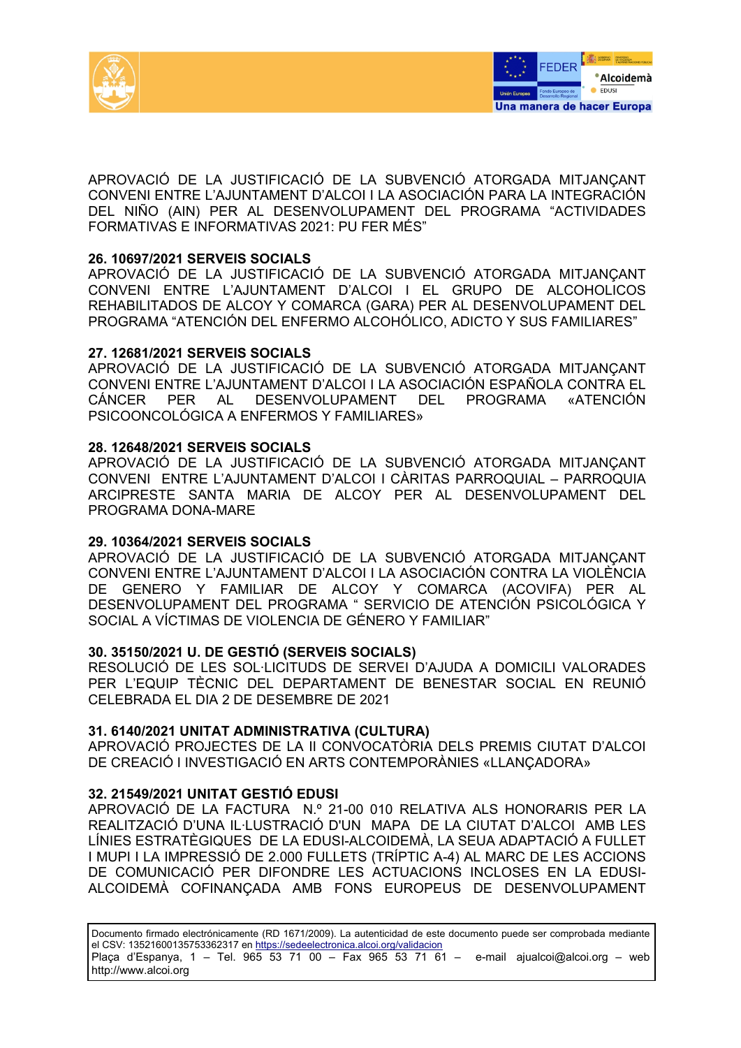



APROVACIÓ DE LA JUSTIFICACIÓ DE LA SUBVENCIÓ ATORGADA MITJANÇANT CONVENI ENTRE L'AJUNTAMENT D'ALCOI I LA ASOCIACIÓN PARA LA INTEGRACIÓN DEL NIÑO (AIN) PER AL DESENVOLUPAMENT DEL PROGRAMA "ACTIVIDADES FORMATIVAS E INFORMATIVAS 2021: PU FER MÉS"

### **26. 10697/2021 SERVEIS SOCIALS**

APROVACIÓ DE LA JUSTIFICACIÓ DE LA SUBVENCIÓ ATORGADA MITJANÇANT CONVENI ENTRE L'AJUNTAMENT D'ALCOI I EL GRUPO DE ALCOHOLICOS REHABILITADOS DE ALCOY Y COMARCA (GARA) PER AL DESENVOLUPAMENT DEL PROGRAMA "ATENCIÓN DEL ENFERMO ALCOHÓLICO, ADICTO Y SUS FAMILIARES"

## **27. 12681/2021 SERVEIS SOCIALS**

APROVACIÓ DE LA JUSTIFICACIÓ DE LA SUBVENCIÓ ATORGADA MITJANÇANT CONVENI ENTRE L'AJUNTAMENT D'ALCOI I LA ASOCIACIÓN ESPAÑOLA CONTRA EL CÁNCER PER AL DESENVOLUPAMENT DEL PROGRAMA «ATENCIÓN PSICOONCOLÓGICA A ENFERMOS Y FAMILIARES»

## **28. 12648/2021 SERVEIS SOCIALS**

APROVACIÓ DE LA JUSTIFICACIÓ DE LA SUBVENCIÓ ATORGADA MITJANÇANT CONVENI ENTRE L'AJUNTAMENT D'ALCOI I CÀRITAS PARROQUIAL – PARROQUIA ARCIPRESTE SANTA MARIA DE ALCOY PER AL DESENVOLUPAMENT DEL PROGRAMA DONA-MARE

# **29. 10364/2021 SERVEIS SOCIALS**

APROVACIÓ DE LA JUSTIFICACIÓ DE LA SUBVENCIÓ ATORGADA MITJANÇANT CONVENI ENTRE L'AJUNTAMENT D'ALCOI I LA ASOCIACIÓN CONTRA LA VIOLÈNCIA DE GENERO Y FAMILIAR DE ALCOY Y COMARCA (ACOVIFA) PER AL DESENVOLUPAMENT DEL PROGRAMA " SERVICIO DE ATENCIÓN PSICOLÓGICA Y SOCIAL A VÍCTIMAS DE VIOLENCIA DE GÉNERO Y FAMILIAR"

### **30. 35150/2021 U. DE GESTIÓ (SERVEIS SOCIALS)**

RESOLUCIÓ DE LES SOL·LICITUDS DE SERVEI D'AJUDA A DOMICILI VALORADES PER L'EQUIP TÈCNIC DEL DEPARTAMENT DE BENESTAR SOCIAL EN REUNIÓ CELEBRADA EL DIA 2 DE DESEMBRE DE 2021

### **31. 6140/2021 UNITAT ADMINISTRATIVA (CULTURA)**

APROVACIÓ PROJECTES DE LA II CONVOCATÒRIA DELS PREMIS CIUTAT D'ALCOI DE CREACIÓ I INVESTIGACIÓ EN ARTS CONTEMPORÀNIES «LLANÇADORA»

### **32. 21549/2021 UNITAT GESTIÓ EDUSI**

APROVACIÓ DE LA FACTURA N.º 21-00 010 RELATIVA ALS HONORARIS PER LA REALITZACIÓ D'UNA IL·LUSTRACIÓ D'UN MAPA DE LA CIUTAT D'ALCOI AMB LES LÍNIES ESTRATÈGIQUES DE LA EDUSI-ALCOIDEMÀ, LA SEUA ADAPTACIÓ A FULLET I MUPI I LA IMPRESSIÓ DE 2.000 FULLETS (TRÍPTIC A-4) AL MARC DE LES ACCIONS DE COMUNICACIÓ PER DIFONDRE LES ACTUACIONS INCLOSES EN LA EDUSI-ALCOIDEMÀ COFINANÇADA AMB FONS EUROPEUS DE DESENVOLUPAMENT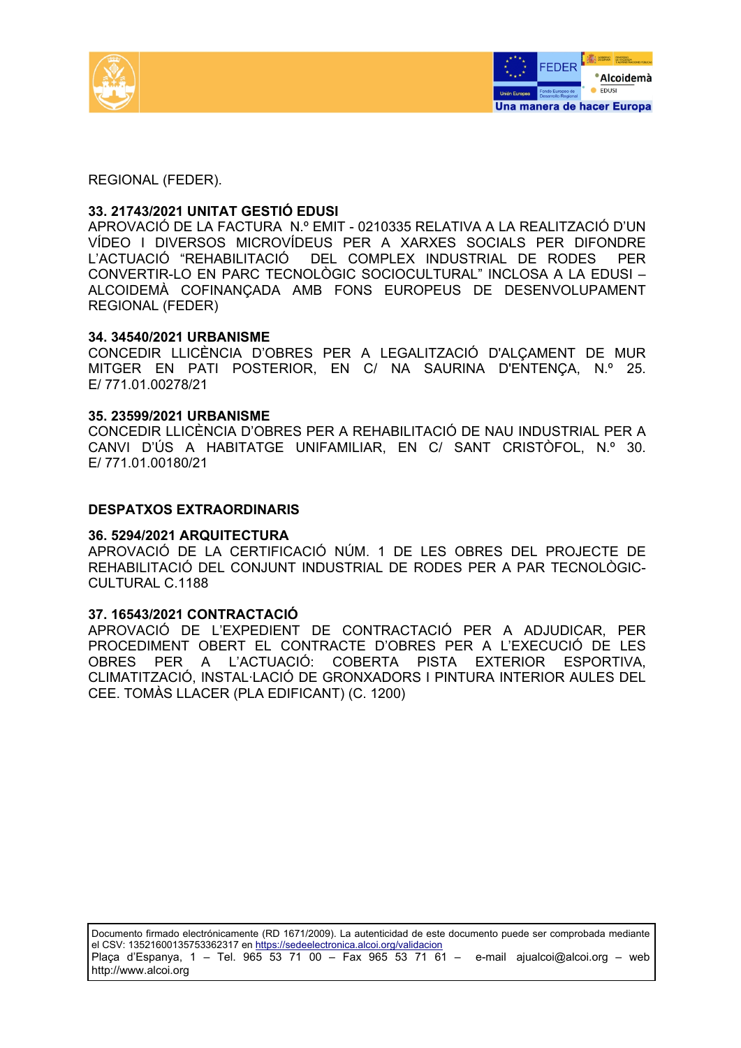



REGIONAL (FEDER).

## **33. 21743/2021 UNITAT GESTIÓ EDUSI**

APROVACIÓ DE LA FACTURA N.º EMIT - 0210335 RELATIVA A LA REALITZACIÓ D'UN VÍDEO I DIVERSOS MICROVÍDEUS PER A XARXES SOCIALS PER DIFONDRE L'ACTUACIÓ "REHABILITACIÓ DEL COMPLEX INDUSTRIAL DE RODES PER CONVERTIR-LO EN PARC TECNOLÒGIC SOCIOCULTURAL" INCLOSA A LA EDUSI – ALCOIDEMÀ COFINANÇADA AMB FONS EUROPEUS DE DESENVOLUPAMENT REGIONAL (FEDER)

## **34. 34540/2021 URBANISME**

CONCEDIR LLICÈNCIA D'OBRES PER A LEGALITZACIÓ D'ALÇAMENT DE MUR MITGER EN PATI POSTERIOR, EN C/ NA SAURINA D'ENTENÇA, N.º 25. E/ 771.01.00278/21

## **35. 23599/2021 URBANISME**

CONCEDIR LLICÈNCIA D'OBRES PER A REHABILITACIÓ DE NAU INDUSTRIAL PER A CANVI D'ÚS A HABITATGE UNIFAMILIAR, EN C/ SANT CRISTÒFOL, N.º 30. E/ 771.01.00180/21

## **DESPATXOS EXTRAORDINARIS**

### **36. 5294/2021 ARQUITECTURA**

APROVACIÓ DE LA CERTIFICACIÓ NÚM. 1 DE LES OBRES DEL PROJECTE DE REHABILITACIÓ DEL CONJUNT INDUSTRIAL DE RODES PER A PAR TECNOLÒGIC-CULTURAL C.1188

### **37. 16543/2021 CONTRACTACIÓ**

APROVACIÓ DE L'EXPEDIENT DE CONTRACTACIÓ PER A ADJUDICAR, PER PROCEDIMENT OBERT EL CONTRACTE D'OBRES PER A L'EXECUCIÓ DE LES OBRES PER A L'ACTUACIÓ: COBERTA PISTA EXTERIOR ESPORTIVA, CLIMATITZACIÓ, INSTAL·LACIÓ DE GRONXADORS I PINTURA INTERIOR AULES DEL CEE. TOMÀS LLACER (PLA EDIFICANT) (C. 1200)